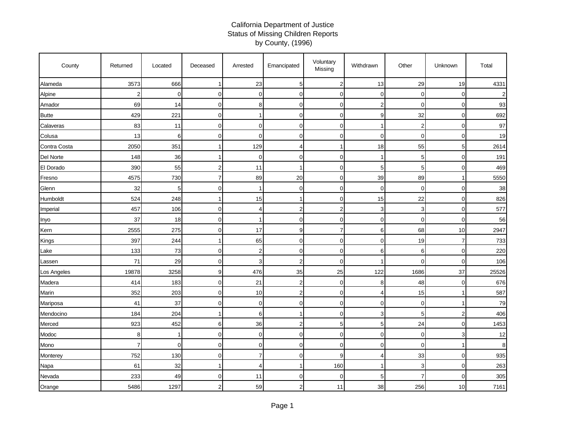## California Department of Justice Status of Missing Children Reports by County, (1996)

| County       | Returned       | Located        | Deceased    | Arrested       | Emancipated    | Voluntary<br>Missing | Withdrawn      | Other          | Unknown                 | Total |
|--------------|----------------|----------------|-------------|----------------|----------------|----------------------|----------------|----------------|-------------------------|-------|
| Alameda      | 3573           | 666            | 1           | 23             | 5              | $\boldsymbol{2}$     | 13             | 29             | 19                      | 4331  |
| Alpine       | $\overline{2}$ | $\mathbf 0$    | 0           | $\overline{0}$ | $\overline{0}$ | 0                    | $\mathbf 0$    | 0              | $\mathbf 0$             | 2     |
| Amador       | 69             | 14             | 0           | 8              | $\overline{0}$ | $\mathbf 0$          | $\overline{c}$ | $\mathbf 0$    | $\mathbf 0$             | 93    |
| <b>Butte</b> | 429            | 221            | $\mathbf 0$ | 1              | $\Omega$       | $\mathbf 0$          | 9              | 32             | $\mathbf 0$             | 692   |
| Calaveras    | 83             | 11             | 0           | $\overline{0}$ | $\overline{0}$ | $\mathbf 0$          | $\mathbf{1}$   | $\overline{2}$ | $\mathbf 0$             | 97    |
| Colusa       | 13             | 6              | 0           | 0              | $\Omega$       | $\mathbf 0$          | $\mathbf 0$    | $\mathbf 0$    | $\overline{0}$          | 19    |
| Contra Costa | 2050           | 351            | 1           | 129            | 4              | $\mathbf{1}$         | 18             | 55             | 5                       | 2614  |
| Del Norte    | 148            | 36             | 1           | $\mathbf 0$    | $\mathbf 0$    | $\mathsf 0$          | $\mathbf{1}$   | 5              | $\mathbf 0$             | 191   |
| El Dorado    | 390            | 55             | 2           | 11             |                | $\mathbf 0$          | 5              | 5              | $\mathbf 0$             | 469   |
| Fresno       | 4575           | 730            | 7           | 89             | 20             | $\mathbf 0$          | 39             | 89             | $\mathbf{1}$            | 5550  |
| Glenn        | 32             | 5              | $\Omega$    | 1              | $\overline{0}$ | $\mathbf 0$          | $\mathbf 0$    | $\Omega$       | $\overline{0}$          | 38    |
| Humboldt     | 524            | 248            | 1           | 15             |                | $\pmb{0}$            | 15             | 22             | $\mathsf{O}\xspace$     | 826   |
| Imperial     | 457            | 106            | 0           | 4              | $\overline{c}$ | $\boldsymbol{2}$     | 3              | 3              | $\mathbf 0$             | 577   |
| Inyo         | 37             | 18             | 0           | 1              | $\mathbf 0$    | $\mathbf 0$          | $\mathbf 0$    | $\mathbf 0$    | $\mathbf 0$             | 56    |
| Kern         | 2555           | 275            | 0           | 17             | 9              | $\overline{7}$       | 6              | 68             | 10                      | 2947  |
| Kings        | 397            | 244            |             | 65             | $\overline{0}$ | $\mathbf 0$          | $\mathbf 0$    | 19             | $\overline{7}$          | 733   |
| Lake         | 133            | 73             | 0           | $\overline{2}$ | $\overline{0}$ | $\mathbf 0$          | 6              | 6              | $\mathbf 0$             | 220   |
| Lassen       | 71             | 29             | 0           | 3              | $\overline{c}$ | $\mathbf 0$          | 1              | 0              | 0                       | 106   |
| Los Angeles  | 19878          | 3258           | 9           | 476            | 35             | 25                   | 122            | 1686           | 37                      | 25526 |
| Madera       | 414            | 183            | 0           | 21             | $\overline{2}$ | 0                    | 8              | 48             | $\overline{O}$          | 676   |
| Marin        | 352            | 203            | $\Omega$    | 10             | $\overline{2}$ | $\mathbf 0$          | $\overline{4}$ | 15             | 1                       | 587   |
| Mariposa     | 41             | 37             | 0           | $\mathbf{O}$   | $\overline{0}$ | $\mathbf 0$          | $\mathbf 0$    | 0              | $\mathbf{1}$            | 79    |
| Mendocino    | 184            | 204            | -1          | 6              |                | $\mathbf 0$          | 3              | 5              | $\overline{\mathbf{c}}$ | 406   |
| Merced       | 923            | 452            | 6           | 36             | $\overline{2}$ | 5                    | 5              | 24             | $\mathbf 0$             | 1453  |
| Modoc        | 8              | 1              | 0           | $\overline{0}$ | $\overline{0}$ | $\mathbf 0$          | $\mathbf 0$    | 0              | 3                       | 12    |
| Mono         | 7              | $\overline{0}$ | 0           | $\overline{0}$ | $\overline{0}$ | $\mathbf 0$          | $\mathbf 0$    | $\mathbf 0$    | 1                       | 8     |
| Monterey     | 752            | 130            | 0           | $\overline{7}$ | $\overline{0}$ | 9                    | 4              | 33             | $\mathbf 0$             | 935   |
| Napa         | 61             | 32             | -1          | 4              |                | 160                  | $\mathbf{1}$   | 3              | $\mathbf 0$             | 263   |
| Nevada       | 233            | 49             | 0           | 11             | $\mathbf 0$    | 0                    | 5              | 7              | $\mathbf 0$             | 305   |
| Orange       | 5486           | 1297           | 2           | 59             | $\overline{2}$ | 11                   | 38             | 256            | 10                      | 7161  |